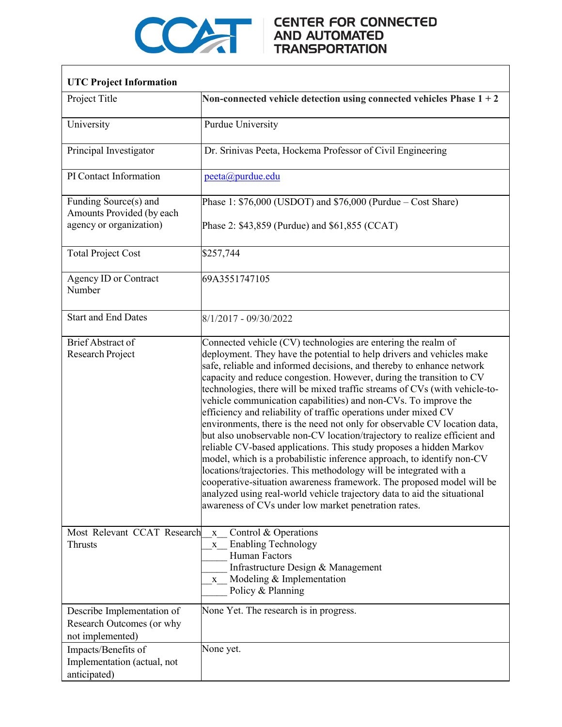

## COMPARE CENTER FOR CONNECTED

٦

| <b>UTC Project Information</b>                                                                                               |                                                                                                                                                                                                                                                                                                                                                                                                                                                                                                                                                                                                                                                                                                                                                                                                                                                                                                                                                                                                                                                                                                           |
|------------------------------------------------------------------------------------------------------------------------------|-----------------------------------------------------------------------------------------------------------------------------------------------------------------------------------------------------------------------------------------------------------------------------------------------------------------------------------------------------------------------------------------------------------------------------------------------------------------------------------------------------------------------------------------------------------------------------------------------------------------------------------------------------------------------------------------------------------------------------------------------------------------------------------------------------------------------------------------------------------------------------------------------------------------------------------------------------------------------------------------------------------------------------------------------------------------------------------------------------------|
| Project Title                                                                                                                | Non-connected vehicle detection using connected vehicles Phase $1 + 2$                                                                                                                                                                                                                                                                                                                                                                                                                                                                                                                                                                                                                                                                                                                                                                                                                                                                                                                                                                                                                                    |
| University                                                                                                                   | Purdue University                                                                                                                                                                                                                                                                                                                                                                                                                                                                                                                                                                                                                                                                                                                                                                                                                                                                                                                                                                                                                                                                                         |
| Principal Investigator                                                                                                       | Dr. Srinivas Peeta, Hockema Professor of Civil Engineering                                                                                                                                                                                                                                                                                                                                                                                                                                                                                                                                                                                                                                                                                                                                                                                                                                                                                                                                                                                                                                                |
| PI Contact Information                                                                                                       | peeta@purdue.edu                                                                                                                                                                                                                                                                                                                                                                                                                                                                                                                                                                                                                                                                                                                                                                                                                                                                                                                                                                                                                                                                                          |
| Funding Source(s) and<br>Amounts Provided (by each<br>agency or organization)                                                | Phase 1: $$76,000$ (USDOT) and $$76,000$ (Purdue – Cost Share)<br>Phase 2: \$43,859 (Purdue) and \$61,855 (CCAT)                                                                                                                                                                                                                                                                                                                                                                                                                                                                                                                                                                                                                                                                                                                                                                                                                                                                                                                                                                                          |
| <b>Total Project Cost</b>                                                                                                    | \$257,744                                                                                                                                                                                                                                                                                                                                                                                                                                                                                                                                                                                                                                                                                                                                                                                                                                                                                                                                                                                                                                                                                                 |
| Agency ID or Contract<br>Number                                                                                              | 69A3551747105                                                                                                                                                                                                                                                                                                                                                                                                                                                                                                                                                                                                                                                                                                                                                                                                                                                                                                                                                                                                                                                                                             |
| <b>Start and End Dates</b>                                                                                                   | $8/1/2017 - 09/30/2022$                                                                                                                                                                                                                                                                                                                                                                                                                                                                                                                                                                                                                                                                                                                                                                                                                                                                                                                                                                                                                                                                                   |
| <b>Brief Abstract of</b><br>Research Project                                                                                 | Connected vehicle (CV) technologies are entering the realm of<br>deployment. They have the potential to help drivers and vehicles make<br>safe, reliable and informed decisions, and thereby to enhance network<br>capacity and reduce congestion. However, during the transition to CV<br>technologies, there will be mixed traffic streams of CVs (with vehicle-to-<br>vehicle communication capabilities) and non-CVs. To improve the<br>efficiency and reliability of traffic operations under mixed CV<br>environments, there is the need not only for observable CV location data,<br>but also unobservable non-CV location/trajectory to realize efficient and<br>reliable CV-based applications. This study proposes a hidden Markov<br>model, which is a probabilistic inference approach, to identify non-CV<br>locations/trajectories. This methodology will be integrated with a<br>cooperative-situation awareness framework. The proposed model will be<br>analyzed using real-world vehicle trajectory data to aid the situational<br>awareness of CVs under low market penetration rates. |
| Most Relevant CCAT Research<br><b>Thrusts</b><br>Describe Implementation of<br>Research Outcomes (or why<br>not implemented) | Control & Operations<br>$\mathbf X$<br><b>Enabling Technology</b><br>$\mathbf{X}$<br><b>Human Factors</b><br>Infrastructure Design & Management<br>Modeling & Implementation<br>$\mathbf X$<br>Policy & Planning<br>None Yet. The research is in progress.                                                                                                                                                                                                                                                                                                                                                                                                                                                                                                                                                                                                                                                                                                                                                                                                                                                |
| Impacts/Benefits of<br>Implementation (actual, not<br>anticipated)                                                           | None yet.                                                                                                                                                                                                                                                                                                                                                                                                                                                                                                                                                                                                                                                                                                                                                                                                                                                                                                                                                                                                                                                                                                 |